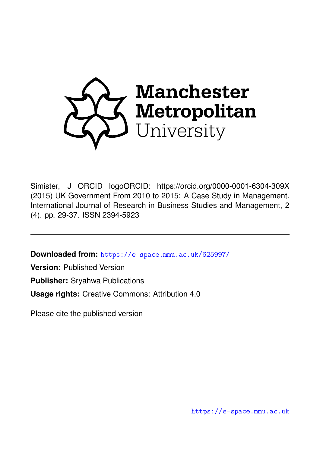

Simister, J ORCID logoORCID: https://orcid.org/0000-0001-6304-309X (2015) UK Government From 2010 to 2015: A Case Study in Management. International Journal of Research in Business Studies and Management, 2 (4). pp. 29-37. ISSN 2394-5923

**Downloaded from:** <https://e-space.mmu.ac.uk/625997/>

**Version:** Published Version

**Publisher:** Sryahwa Publications

**Usage rights:** Creative Commons: Attribution 4.0

Please cite the published version

<https://e-space.mmu.ac.uk>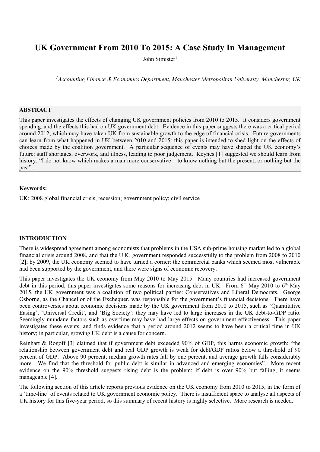# **UK Government From 2010 To 2015: A Case Study In Management**

John Simister1

*1 Accounting Finance & Economics Department, Manchester Metropolitan University, Manchester, UK*

# **ABSTRACT**

This paper investigates the effects of changing UK government policies from 2010 to 2015. It considers government spending, and the effects this had on UK government debt. Evidence in this paper suggests there was a critical period around 2012, which may have taken UK from sustainable growth to the edge of financial crisis. Future governments can learn from what happened in UK between 2010 and 2015: this paper is intended to shed light on the effects of choices made by the coalition government. A particular sequence of events may have shaped the UK economy's future: staff shortages, overwork, and illness, leading to poor judgement. Keynes [1] suggested we should learn from history: "I do not know which makes a man more conservative – to know nothing but the present, or nothing but the past".

#### **Keywords:**

UK; 2008 global financial crisis; recession; government policy; civil service

## **INTRODUCTION**

There is widespread agreement among economists that problems in the USA sub-prime housing market led to a global financial crisis around 2008, and that the U.K. government responded successfully to the problem from 2008 to 2010 [2]; by 2009, the UK economy seemed to have turned a corner: the commercial banks which seemed most vulnerable had been supported by the government, and there were signs of economic recovery.

This paper investigates the UK economy from May 2010 to May 2015. Many countries had increased government debt in this period; this paper investigates some reasons for increasing debt in UK. From  $6<sup>th</sup>$  May 2010 to  $6<sup>th</sup>$  May 2015, the UK government was a coalition of two political parties: Conservatives and Liberal Democrats. George Osborne, as the Chancellor of the Exchequer, was responsible for the government's financial decisions. There have been controversies about economic decisions made by the UK government from 2010 to 2015, such as 'Quantitative Easing', 'Universal Credit', and 'Big Society': they may have led to large increases in the UK debt-to-GDP ratio. Seemingly mundane factors such as overtime may have had large effects on government effectiveness. This paper investigates these events, and finds evidence that a period around 2012 seems to have been a critical time in UK history; in particular, growing UK debt is a cause for concern.

Reinhart & Rogoff [3] claimed that if government debt exceeded 90% of GDP, this harms economic growth: "the relationship between government debt and real GDP growth is weak for debt/GDP ratios below a threshold of 90 percent of GDP. Above 90 percent, median growth rates fall by one percent, and average growth falls considerably more. We find that the threshold for public debt is similar in advanced and emerging economies". More recent evidence on the 90% threshold suggests rising debt is the problem: if debt is over 90% but falling, it seems manageable [4].

The following section of this article reports previous evidence on the UK economy from 2010 to 2015, in the form of a 'time-line' of events related to UK government economic policy. There is insufficient space to analyse all aspects of UK history for this five-year period, so this summary of recent history is highly selective. More research is needed.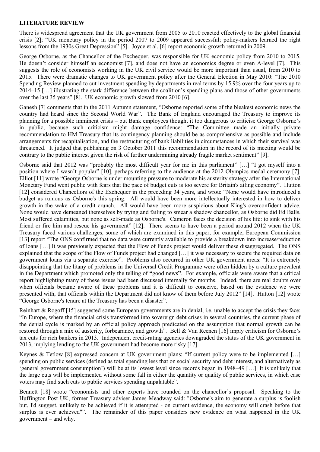# **LITERATURE REVIEW**

There is widespread agreement that the UK government from 2005 to 2010 reacted effectively to the global financial crisis [2]; "UK monetary policy in the period 2007 to 2009 appeared successful; policy-makers learned the right lessons from the 1930s Great Depression" [5]. Joyce et al. [6] report economic growth returned in 2009.

George Osborne, as the Chancellor of the Exchequer, was responsible for UK economic policy from 2010 to 2015. He doesn't consider himself an economist [7], and does not have an economics degree or even A-level [7]. This suggests the role of economists working in the UK civil service would be more important than usual, from 2010 to 2015. There were dramatic changes to UK government policy after the General Election in May 2010: "The 2010 Spending Review planned to cut investment spending by departments in real terms by 15.9% over the four years up to 2014–15 […] illustrating the stark difference between the coalition's spending plans and those of other governments over the last 35 years" [8]. UK economic growth slowed from 2010 [6].

Ganesh [7] comments that in the 2011 Autumn statement, "Osborne reported some of the bleakest economic news the country had heard since the Second World War". The Bank of England encouraged the Treasury to improve its planning for a possible imminent crisis – but Bank employees thought it too dangerous to criticise George Osborne's in public, because such criticism might damage confidence: "The Committee made an initially private recommendation to HM Treasury that its contingency planning should be as comprehensive as possible and include arrangements for recapitalisation, and the restructuring of bank liabilities in circumstances in which their survival was threatened. It judged that publishing on 3 October 2011 this recommendation in the record of its meeting would be contrary to the public interest given the risk of further undermining already fragile market sentiment" [9].

Osborne said that 2012 was "probably the most difficult year for me in this parliament" […] "I got myself into a position where I wasn't popular" [10], perhaps referring to the audience at the 2012 Olympics medal ceremony [7]. Elliot [11] wrote "George Osborne is under mounting pressure to moderate his austerity strategy after the International Monetary Fund went public with fears that the pace of budget cuts is too severe for Britain's ailing economy". Hutton [12] considered Chancellors of the Exchequer in the preceding 34 years, and wrote "None would have introduced a budget as ruinous as Osborne's this spring. All would have been more intellectually interested in how to deliver growth in the wake of a credit crunch. All would have been more suspicious about King's overconfident advice. None would have demeaned themselves by trying and failing to smear a shadow chancellor, as Osborne did Ed Balls. Most suffered calamities, but none as self-made as Osborne's. Cameron faces the decision of his life: to sink with his friend or fire him and rescue his government" [12]. There seems to have been a period around 2012 when the UK Treasury faced various challenges, some of which are examined in this paper; for example, European Commission [13] report "The ONS confirmed that no data were currently available to provide a breakdown into increase/reduction of loans […] It was previously expected that the Flow of Funds project would deliver these disaggregated. The ONS explained that the scope of the Flow of Funds project had changed […] it was necessary to secure the required data on government loans via a separate exercise". Problems also occurred in other UK government areas: "It is extremely disappointing that the litany of problems in the Universal Credit Programme were often hidden by a culture prevalent in the Department which promoted only the telling of **"**good news**"**. For example, officials were aware that a critical report highlighting many of these issues had been discussed internally for months. Indeed, there are real doubts over when officials became aware of these problems and it is difficult to conceive, based on the evidence we were presented with, that officials within the Department did not know of them before July 2012" [14]. Hutton [12] wrote "George Osborne's tenure at the Treasury has been a disaster".

Reinhart & Rogoff [15] suggested some European governments are in denial, i.e. unable to accept the crisis they face: "In Europe, where the financial crisis transformed into sovereign debt crises in several countries, the current phase of the denial cycle is marked by an official policy approach predicated on the assumption that normal growth can be restored through a mix of austerity, forbearance, and growth". Bell & Van Reenen [16] imply criticism for Osborne's tax cuts for rich bankers in 2013. Independent credit-rating agencies downgraded the status of the UK government in 2013, implying lending to the UK government had become more risky [17].

Keynes & Tetlow [8] expressed concern at UK government plans: "If current policy were to be implemented [...] spending on public services (defined as total spending less that on social security and debt interest, and alternatively as 'general government consumption') will be at its lowest level since records began in 1948–49 […] It is unlikely that the large cuts will be implemented without some fall in either the quantity or quality of public services, in which case voters may find such cuts to public services spending unpalatable".

Bennett [18] wrote "economists and other experts have rounded on the chancellor's proposal. Speaking to the Huffington Post UK, former Treasury adviser James Meadway said: "Osborne's aim to generate a surplus is foolish but, I'd suggest, unlikely to be achieved if it is attempted - on current evidence, the economy will crash before that surplus is ever achieved"". The remainder of this paper considers new evidence on what happened in the UK government – and why.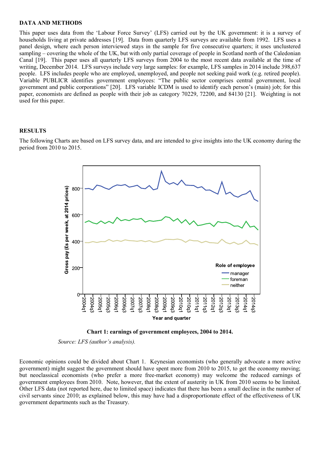#### **DATA AND METHODS**

This paper uses data from the 'Labour Force Survey' (LFS) carried out by the UK government: it is a survey of households living at private addresses [19]. Data from quarterly LFS surveys are available from 1992. LFS uses a panel design, where each person interviewed stays in the sample for five consecutive quarters; it uses unclustered sampling – covering the whole of the UK, but with only partial coverage of people in Scotland north of the Caledonian Canal [19]. This paper uses all quarterly LFS surveys from 2004 to the most recent data available at the time of writing, December 2014. LFS surveys include very large samples: for example, LFS samples in 2014 include 398,637 people. LFS includes people who are employed, unemployed, and people not seeking paid work (e.g. retired people). Variable PUBLICR identifies government employees: "The public sector comprises central government, local government and public corporations" [20]. LFS variable ICDM is used to identify each person's (main) job; for this paper, economists are defined as people with their job as category 70229, 72200, and 84130 [21]. Weighting is not used for this paper.

## **RESULTS**

The following Charts are based on LFS survey data, and are intended to give insights into the UK economy during the period from 2010 to 2015.







Economic opinions could be divided about Chart 1. Keynesian economists (who generally advocate a more active government) might suggest the government should have spent more from 2010 to 2015, to get the economy moving; but neoclassical economists (who prefer a more free-market economy) may welcome the reduced earnings of government employees from 2010. Note, however, that the extent of austerity in UK from 2010 seems to be limited. Other LFS data (not reported here, due to limited space) indicates that there has been a small decline in the number of civil servants since 2010; as explained below, this may have had a disproportionate effect of the effectiveness of UK government departments such as the Treasury.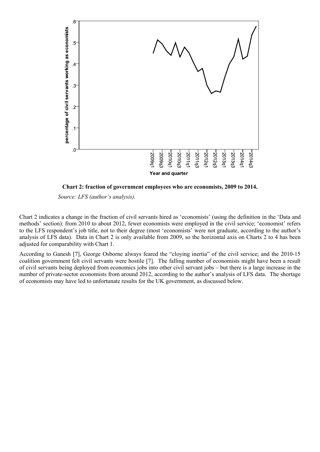

**Chart 2: fraction of government employees who are economists, 2009 to 2014.**

*Source: LFS (author's analysis).*

Chart 2 indicates a change in the fraction of civil servants hired as 'economists' (using the definition in the 'Data and methods' section): from 2010 to about 2012, fewer economists were employed in the civil service; 'economist' refers to the LFS respondent's job title, not to their degree (most 'economists' were not graduate, according to the author's analysis of LFS data). Data in Chart 2 is only available from 2009, so the horizontal axis on Charts 2 to 4 has been adjusted for comparability with Chart 1.

According to Ganesh [7], George Osborne always feared the "cloying inertia" of the civil service; and the 2010-15 coalition government felt civil servants were hostile [7]. The falling number of economists might have been a result of civil servants being deployed from economics jobs into other civil servant jobs – but there is a large increase in the number of private-sector economists from around 2012, according to the author's analysis of LFS data. The shortage of economists may have led to unfortunate results for the UK government, as discussed below.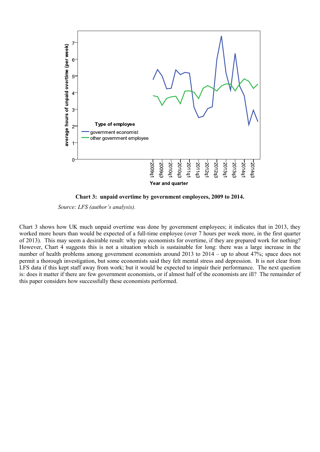

**Chart 3: unpaid overtime by government employees, 2009 to 2014.**

*Source: LFS (author's analysis).*

Chart 3 shows how UK much unpaid overtime was done by government employees; it indicates that in 2013, they worked more hours than would be expected of a full-time employee (over 7 hours per week more, in the first quarter of 2013). This may seem a desirable result: why pay economists for overtime, if they are prepared work for nothing? However, Chart 4 suggests this is not a situation which is sustainable for long: there was a large increase in the number of health problems among government economists around 2013 to 2014 – up to about 47%; space does not permit a thorough investigation, but some economists said they felt mental stress and depression. It is not clear from LFS data if this kept staff away from work; but it would be expected to impair their performance. The next question is: does it matter if there are few government economists, or if almost half of the economists are ill? The remainder of this paper considers how successfully these economists performed.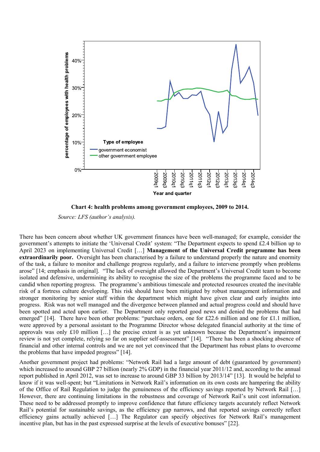

**Chart 4: health problems among government employees, 2009 to 2014.**

*Source: LFS (author's analysis).*

There has been concern about whether UK government finances have been well-managed; for example, consider the government's attempts to initiate the 'Universal Credit' system: "The Department expects to spend £2.4 billion up to April 2023 on implementing Universal Credit […] **Management of the Universal Credit programme has been extraordinarily poor.** Oversight has been characterised by a failure to understand properly the nature and enormity of the task, a failure to monitor and challenge progress regularly, and a failure to intervene promptly when problems arose" [14; emphasis in original]. "The lack of oversight allowed the Department's Universal Credit team to become isolated and defensive, undermining its ability to recognise the size of the problems the programme faced and to be candid when reporting progress. The programme's ambitious timescale and protected resources created the inevitable risk of a fortress culture developing. This risk should have been mitigated by robust management information and stronger monitoring by senior staff within the department which might have given clear and early insights into progress. Risk was not well managed and the divergence between planned and actual progress could and should have been spotted and acted upon earlier. The Department only reported good news and denied the problems that had emerged" [14]. There have been other problems: "purchase orders, one for £22.6 million and one for £1.1 million, were approved by a personal assistant to the Programme Director whose delegated financial authority at the time of approvals was only £10 million […] the precise extent is as yet unknown because the Department's impairment review is not yet complete, relying so far on supplier self-assessment" [14]. "There has been a shocking absence of financial and other internal controls and we are not yet convinced that the Department has robust plans to overcome the problems that have impeded progress" [14].

Another government project had problems: "Network Rail had a large amount of debt (guaranteed by government) which increased to around GBP 27 billion (nearly 2% GDP) in the financial year 2011/12 and, according to the annual report published in April 2012, was set to increase to around GBP 33 billion by 2013/14" [13]. It would be helpful to know if it was well-spent; but "Limitations in Network Rail's information on its own costs are hampering the ability of the Office of Rail Regulation to judge the genuineness of the efficiency savings reported by Network Rail […] However, there are continuing limitations in the robustness and coverage of Network Rail's unit cost information. These need to be addressed promptly to improve confidence that future efficiency targets accurately reflect Network Rail's potential for sustainable savings, as the efficiency gap narrows, and that reported savings correctly reflect efficiency gains actually achieved […] The Regulator can specify objectives for Network Rail's management incentive plan, but has in the past expressed surprise at the levels of executive bonuses" [22].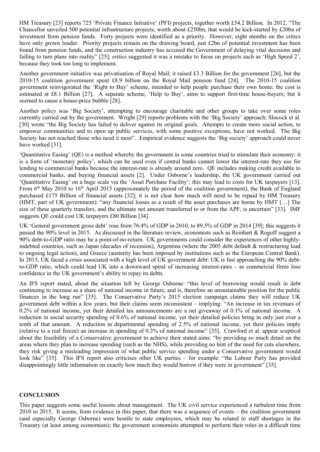HM Treasury [23] reports 725 'Private Finance Initiative' (PFI) projects, together worth £54.2 Billion. In 2012, "The Chancellor unveiled 500 potential infrastructure projects, worth about £250bn, that would be kick-started by £20bn of investment from pension funds. Forty projects were identified as a priority. However, eight months on the critics have only grown louder. Priority projects remain on the drawing board, just £2bn of potential investment has been found from pension funds, and the construction industry has accused the Government of delaying vital decisions and failing to turn plans into reality" [25]; critics suggested it was a mistake to focus on projects such as 'High Speed 2', because they took too long to implement.

Another government initiative was privatisation of Royal Mail; it raised £3.3 Billion for the government [26], but the 2010-15 coalition government spent £8.9 billion on the Royal Mail pension fund [24]. The 2010-15 coalition government reinvigorated the 'Right to Buy' scheme, intended to help people purchase their own home; the cost is estimated at £8.1 Billion [27]. A separate scheme, 'Help to Buy', aims to support first-time house-buyers; but it seemed to cause a house-price bubble [28].

Another policy was 'Big Society', attempting to encourage charitable and other groups to take over some roles currently carried out by the government. Wright [29] reports problems with the 'Big Society' approach; Slocock et al. [30] wrote "the Big Society has failed to deliver against its original goals. Attempts to create more social action, to empower communities and to open up public services, with some positive exceptions, have not worked. The Big Society has not reached those who need it most". Empirical evidence suggests the 'Big society' approach could never have worked [31].

'Quantitative Easing' (QE) is a method whereby the government in some countries tried to stimulate their economy: it is a form of 'monetary policy', which can be used even if central banks cannot lower the interest-rate they use for lending to commercial banks because the interest-rate is already around zero. QE includes making credit available to commercial banks, and buying financial assets [2]. Under Osborne's leadership, the UK government carried out 'Quantitative Easing' on a huge scale via the 'Asset Purchase Facility'; this may lead to costs for UK taxpayers [13]. From 6<sup>th</sup> May 2010 to 16<sup>th</sup> April 2015 (approximately the period of the coalition government), the Bank of England purchased £175 Billion of financial assets [32]; it is not clear how much will need to be repaid by HM Treasury (HMT, part of UK government): "any financial losses as a result of the asset purchases are borne by HMT […] The size of these quarterly transfers, and the ultimate net amount transferred to or from the APF, is uncertain" [33]. IMF suggests QE could cost UK taxpayers £80 Billion [34].

UK 'General government gross debt' rose from 76.4% of GDP in 2010, to 89.5% of GDP in 2014 [39]; this suggests it passed the 90% level in 2015. As discussed in the literature review, economists such as Reinhart & Rogoff suggest a 90% debt-to-GDP ratio may be a point-of-no-return. UK governments could consider the experiences of other highlyindebted countries, such as Japan (decades of recession), Argentina (where the 2005 debt default & restructuring lead to ongoing legal action), and Greece (austerity has been imposed by institutions such as the European Central Bank). In 2015, UK faced a crisis associated with a high level of UK government debt: UK is fast approaching the 90% debtto-GDP ratio, which could lead UK into a downward spiral of increasing interest-rates – as commercial firms lose confidence in the UK government's ability to repay its debts.

An IFS report stated, about the situation left by George Osborne: "this level of borrowing would result in debt continuing to increase as a share of national income in future, and is, therefore an unsustainable position for the public finances in the long run" [35]. The Conservative Party's 2015 election campaign claims they will reduce UK government debt within a few years, but their claims seem inconsistent – implying: "An increase in tax revenues of 0.2% of national income, yet their detailed tax announcements are a net giveaway of 0.1% of national income. A reduction in social security spending of 0.6% of national income, yet their detailed policies bring in only just over a tenth of that amount. A reduction in departmental spending of 2.5% of national income, yet their policies imply (relative to a real freeze) an increase in spending of 0.3% of national income" [35]. Crawford et al. appear sceptical about the feasibility of a Conservative government to achieve their stated aims: "by providing so much detail on the areas where they plan to increase spending (such as the NHS), while providing no hint of the need for cuts elsewhere, they risk giving a misleading impression of what public service spending under a Conservative government would look like" [35]. This IFS report also criticises other UK parties – for example: "the Labour Party has provided disappointingly little information on exactly how much they would borrow if they were in government" [35].

## **CONCLUSION**

This paper suggests some useful lessons about management. The UK civil service experienced a turbulent time from 2010 to 2015. It seems, from evidence in this paper, that there was a sequence of events – the coalition government (and especially George Osborne) were hostile to state employees, which may be related to staff shortages in the Treasury (at least among economists); the government economists attempted to perform their roles in a difficult time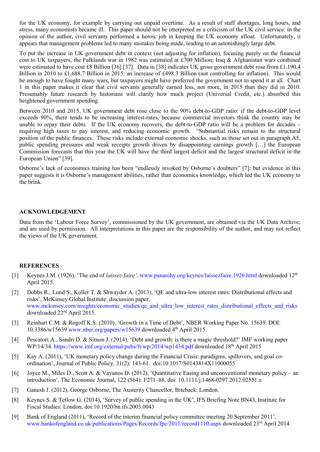for the UK economy, for example by carrying out unpaid overtime. As a result of staff shortages, long hours, and stress, many economists became ill. This paper should not be interpreted as a criticism of the UK civil service: in the opinion of the author, civil servants performed a heroic job in keeping the UK economy afloat. Unfortunately, it appears that management problems led to many mistakes being made, leading to an astonishingly large debt.

To put the increase in UK government debt in context (not adjusting for inflation), focusing purely on the financial cost to UK taxpayers, the Falklands war in 1982 was estimated at £700 Million; Iraq & Afghanistan wars combined were estimated to have cost £8 Billion [36] [37]. Data in [38] indicates UK gross government debt rose from £1,190.4 Billion in 2010 to £1,688.7 Billion in 2015: an increase of £498.3 Billion (not controlling for inflation). This would be enough to have fought many wars, but taxpayers might have preferred the government not to spend it at all. Chart 1 in this paper makes it clear that civil servants generally earned less, not more, in 2015 than they did in 2010. Presumably future research by historians will clarify how much project (Universal Credit, etc.) absorbed this heightened government spending.

Between 2010 and 2015, UK government debt rose close to the 90% debt-to-GDP ratio: if the debt-to-GDP level exceeds 90%, there tends to be increasing interest-rates, because commercial investors think the country may be unable to repay their debts. If the UK economy recovers, the debt-to-GDP ratio will be a problem for decades – requiring high taxes to pay interest, and reducing economic growth. "Substantial risks remain to the structural position of the public finances. These risks include external economic shocks, such as those set out in paragraph A5, public spending pressures and weak receipts growth driven by disappointing earnings growth […] the European Commission forecasts that this year the UK will have the third largest deficit and the largest structural deficit in the European Union" [39].

Osborne's lack of economics training has been "endlessly invoked by Osborne's doubters" [7]; but evidence in this paper suggests it is Osborne's management abilities, rather than economics knowledge, which led the UK economy to the brink.

### **ACKNOWLEDGEMENT**

Data from the 'Labour Force Survey', commissioned by the UK government, are obtained via the UK Data Archive; and are used by permission. All interpretations in this paper are the responsibility of the author, and may not reflect the views of the UK government.

#### **REFERENCES**

- [1] Keynes J.M. (1926), 'The end of *laissez-faire',* [www.panarchy.org/keynes/laissezfaire.1926.html](http://www.panarchy.org/keynes/laissezfaire.1926.html) downloaded 12th April 2015.
- [2] Dobbs R., Lund S., Koller T. & Shwayder A. (2013), 'QE and ultra-low interest rates: Distributional effects and risks', McKinsey Global Institute: discussion paper, [www.mckinsey.com/insights/economic\\_studies/qe\\_and\\_ultra\\_low\\_interest\\_rates\\_distributional\\_effects\\_and\\_risks](http://www.mckinsey.com/insights/economic_studies/qe_and_ultra_low_interest_rates_distributional_effects_and_risks) downloaded 22nd April 2015.
- [3] Reinhart C.M. & Rogoff K.S. (2010), 'Growth in a Time of Debt', NBER Working Paper No. 15639. DOI: 10.3386/w15639 [www.nber.org/papers/w15639](http://www.nber.org/papers/w15639) downloaded  $4<sup>th</sup>$  April 2015.
- [4] Pescatori A., Sandri D. & Simon J. (2014), 'Debt and growth: is there a magic threshold?' IMF working paper WP/14/34.<https://www.imf.org/external/pubs/ft/wp/2014/wp1434.pdf> downloaded 18th April 2015
- [5] Kay A. (2011), 'UK monetary policy change during the Financial Crisis: paradigms, spillovers, and goal coordination', Journal of Public Policy, 31(2): 143-61. doi:10.1017/S0143814X11000055
- [6] Joyce M., Miles D., Scott A. & Vayanos D. (2012), 'Quantitative Easing and unconventional monetary policy an introduction', The Economic Journal, 122 (564): F271–88. doi: 10.1111/j.1468-0297.2012.02551.x
- [7] Ganesh J. (2012), George Osborne, The Austerity Chancellor, Biteback: London.
- [8] Keynes S. & Tetlow G. (2014), 'Survey of public spending in the UK', IFS Briefing Note BN43, Institute for Fiscal Studies: London, doi:10.1920/bn.ifs.2003.0043
- [9] Bank of England (2011), 'Record of the interim financial policy committee meeting 20 September 2011', [www.bankofengland.co.uk/publications/Pages/Records/fpc/2011/record1110.aspx](http://www.bankofengland.co.uk/publications/Pages/Records/fpc/2011/record1110.aspx) downloaded 23rd April 2014.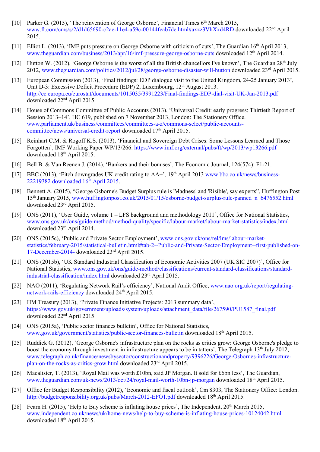- [10] Parker G. (2015), 'The reinvention of George Osborne', Financial Times 6<sup>th</sup> March 2015, [www.ft.com/cms/s/2/d1d65690-c2ae-11e4-a59c-00144feab7de.html#axzz3VhXxd4RD](http://www.ft.com/cms/s/2/d1d65690-c2ae-11e4-a59c-00144feab7de.html#axzz3VhXxd4RD) downloaded 22nd April 2015.
- [11] Elliot L. (2013), 'IMF puts pressure on George Osborne with criticism of cuts', The Guardian 16<sup>th</sup> April 2013, [www.theguardian.com/business/2013/apr/16/imf-pressure-george-osborne-cuts](http://www.theguardian.com/business/2013/apr/16/imf-pressure-george-osborne-cuts) downloaded 12th April 2014.
- [12] Hutton W. (2012), 'George Osborne is the worst of all the British chancellors I've known', The Guardian 28<sup>th</sup> July 2012, [www.theguardian.com/politics/2012/jul/28/george-osborne-disaster-will-hutton](http://www.theguardian.com/politics/2012/jul/28/george-osborne-disaster-will-hutton) downloaded 23rd April 2015.
- [13] European Commission (2013), 'Final findings: EDP dialogue visit to the United Kingdom, 24-25 January 2013', Unit D-3: Excessive Deficit Procedure (EDP) 2, Luxembourg, 12<sup>th</sup> August 2013. <http://ec.europa.eu/eurostat/documents/1015035/3991223/Final-findings-EDP-dial-visit-UK-Jan-2013.pdf> downloaded 22nd April 2015.
- [14] House of Commons Committee of Public Accounts (2013), 'Universal Credit: early progress: Thirtieth Report of Session 2013–14', HC 619, published on 7 November 2013, London: The Stationery Office. [www.parliament.uk/business/committees/committees-a-z/commons-select/public-accounts](http://www.parliament.uk/business/committees/committees-a-z/commons-select/public-accounts-committee/news/universal-credit-report)[committee/news/universal-credit-report](http://www.parliament.uk/business/committees/committees-a-z/commons-select/public-accounts-committee/news/universal-credit-report) downloaded 17<sup>th</sup> April 2015.
- [15] Reinhart C.M. & Rogoff K.S. (2013), 'Financial and Sovereign Debt Crises: Some Lessons Learned and Those Forgotten', IMF Working Paper WP/13/266[. https://www.imf.org/external/pubs/ft/wp/2013/wp13266.pdf](https://www.imf.org/external/pubs/ft/wp/2013/wp13266.pdf) downloaded 18<sup>th</sup> April 2015.
- [16] Bell B. & Van Reenen J. (2014), 'Bankers and their bonuses', The Economic Journal, 124(574): F1-21.
- [17] BBC (2013), 'Fitch downgrades UK credit rating to AA<sup>+</sup>', 19<sup>th</sup> April 2013 [www.bbc.co.uk/news/business-](http://www.bbc.co.uk/news/business-22219382%20downloaded%2016th%20April%202015)22219382 downloaded 16<sup>th</sup> April 2015.
- [18] Bennett A. (2015), "George Osborne's Budget Surplus rule is 'Madness' and 'Risible', say experts", Huffington Post 15th January 2015, [www.huffingtonpost.co.uk/2015/01/15/osborne-budget-surplus-rule-panned\\_n\\_6476552.html](http://www.huffingtonpost.co.uk/2015/01/15/osborne-budget-surplus-rule-panned_n_6476552.html) downloaded 23rd April 2015.
- [19] ONS (2011), 'User Guide, volume  $1 LFS$  background and methodology 2011', Office for National Statistics, [www.ons.gov.uk/ons/guide-method/method-quality/specific/labour-market/labour-market-statistics/index.html](http://www.ons.gov.uk/ons/guide-method/method-quality/specific/labour-market/labour-market-statistics/index.html) downloaded 23rd April 2014.
- [20] ONS (2015c), 'Public and Private Sector Employment', [www.ons.gov.uk/ons/rel/lms/labour-market](http://www.ons.gov.uk/ons/rel/lms/labour-market-statistics/february-2015/statistical-bulletin.html#tab-2--Public-and-Private-Sector-Employment--first-published-on-17-December-2014-)[statistics/february-2015/statistical-bulletin.html#tab-2--Public-and-Private-Sector-Employment--first-published-on-](http://www.ons.gov.uk/ons/rel/lms/labour-market-statistics/february-2015/statistical-bulletin.html#tab-2--Public-and-Private-Sector-Employment--first-published-on-17-December-2014-)[17-December-2014-](http://www.ons.gov.uk/ons/rel/lms/labour-market-statistics/february-2015/statistical-bulletin.html#tab-2--Public-and-Private-Sector-Employment--first-published-on-17-December-2014-) downloaded 23rd April 2015.
- [21] ONS (2015b), 'UK Standard Industrial Classification of Economic Activities 2007 (UK SIC 2007)', Office for National Statistics, [www.ons.gov.uk/ons/guide-method/classifications/current-standard-classifications/standard](http://www.ons.gov.uk/ons/guide-method/classifications/current-standard-classifications/standard-industrial-classification/index.html)[industrial-classification/index.html](http://www.ons.gov.uk/ons/guide-method/classifications/current-standard-classifications/standard-industrial-classification/index.html) downloaded 23<sup>rd</sup> April 2015.
- [22] NAO (2011), 'Regulating Network Rail's efficiency', National Audit Office, [www.nao.org.uk/report/regulating](http://www.nao.org.uk/report/regulating-network-rails-efficiency/)[network-rails-efficiency](http://www.nao.org.uk/report/regulating-network-rails-efficiency/) downloaded 24<sup>th</sup> April 2015.
- [23] HM Treasury (2013), 'Private Finance Initiative Projects: 2013 summary data', [https://www.gov.uk/government/uploads/system/uploads/attachment\\_data/file/267590/PU1587\\_final.pdf](https://www.gov.uk/government/uploads/system/uploads/attachment_data/file/267590/PU1587_final.pdf) downloaded 22nd April 2015.
- [24] ONS (2015a), 'Public sector finances bulletin', Office for National Statistics, [www.gov.uk/government/statistics/public-sector-finances-bulletin](http://www.gov.uk/government/statistics/public-sector-finances-bulletin) downloaded 18th April 2015.
- [25] Ruddick G. (2012), 'George Osborne's infrastructure plan on the rocks as critics grow: George Osborne's pledge to boost the economy through investment in infrastructure appears to be in tatters', The Telegraph 13<sup>th</sup> July 2012, [www.telegraph.co.uk/finance/newsbysector/constructionandproperty/9396226/George-Osbornes-infrastructure](http://www.telegraph.co.uk/finance/newsbysector/constructionandproperty/9396226/George-Osbornes-infrastructure-plan-on-the-rocks-as-critics-grow.html)[plan-on-the-rocks-as-critics-grow.html](http://www.telegraph.co.uk/finance/newsbysector/constructionandproperty/9396226/George-Osbornes-infrastructure-plan-on-the-rocks-as-critics-grow.html) downloaded 23rd April 2015.
- [26] Macalister, T. (2013), 'Royal Mail was worth £10bn, said JP Morgan. It sold for £6bn less', The Guardian, [www.theguardian.com/uk-news/2013/oct/24/royal-mail-worth-10bn-jp-morgan](http://www.theguardian.com/uk-news/2013/oct/24/royal-mail-worth-10bn-jp-morgan) downloaded 18<sup>th</sup> April 2015.
- [27] Office for Budget Responsibility (2012), 'Economic and fiscal outlook', Cm 8303, The Stationery Office: London. <http://budgetresponsibility.org.uk/pubs/March-2012-EFO1.pdf> downloaded 18<sup>th</sup> April 2015.
- [28] Fearn H. (2015), 'Help to Buy scheme is inflating house prices', The Independent, 20<sup>th</sup> March 2015, [www.independent.co.uk/news/uk/home-news/help-to-buy-scheme-is-inflating-house-prices-10124042.html](http://www.independent.co.uk/news/uk/home-news/help-to-buy-scheme-is-inflating-house-prices-10124042.html) downloaded 18th April 2015.